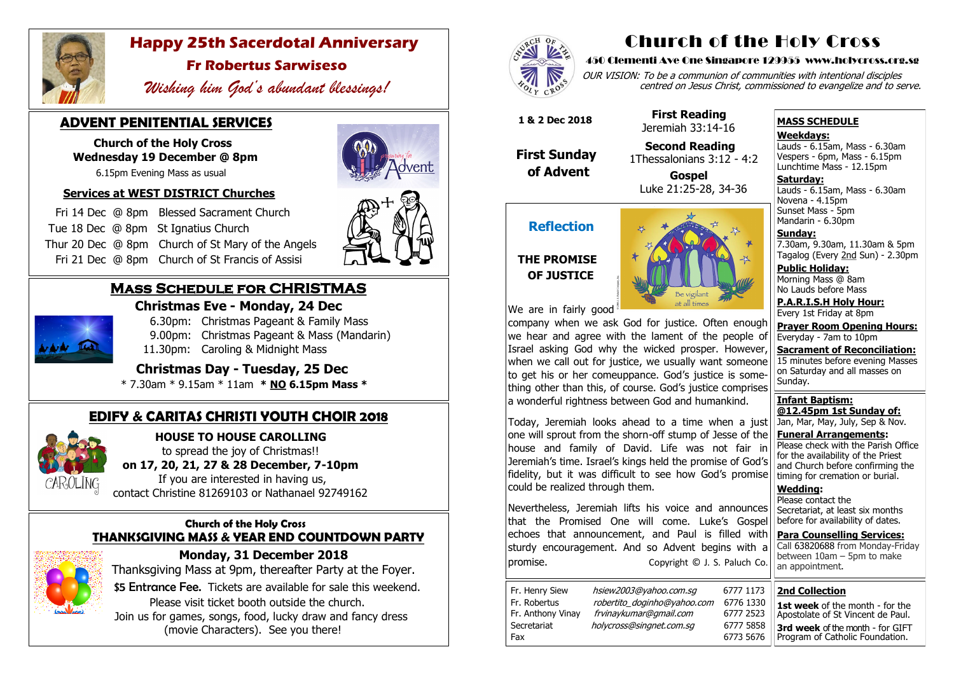## **Mass Schedule for CHRISTMAS**

**Christmas Eve - Monday, 24 Dec** 



6.30pm: Christmas Pageant & Family Mass

- 9.00pm: Christmas Pageant & Mass (Mandarin)
- 11.30pm: Caroling & Midnight Mass

 **Christmas Day - Tuesday, 25 Dec** 

\* 7.30am \* 9.15am \* 11am **\* NO 6.15pm Mass \***

#### **Church of the Holy Cross THANKSGIVING MASS & YEAR END COUNTDOWN PARTY**



 **Monday, 31 December 2018** Thanksgiving Mass at 9pm, thereafter Party at the Foyer. \$5 Entrance Fee. Tickets are available for sale this weekend. Please visit ticket booth outside the church. Join us for games, songs, food, lucky draw and fancy dress

(movie Characters). See you there!



## **ADVENT PENITENTIAL SERVICES**

 **Church of the Holy Cross Wednesday 19 December @ 8pm** OUR VISION: To be a communion of communities with intentional disciples centred on Jesus Christ, commissioned to evangelize and to serve.

6.15pm Evening Mass as usual

#### **Services at WEST DISTRICT Churches**

 Fri 14 Dec @ 8pm Blessed Sacrament Church Tue 18 Dec @ 8pmSt Ignatius Church Thur 20 Dec @ 8pm Church of St Mary of the Angels Fri 21 Dec @ 8pm Church of St Francis of Assisi





**Saturday:** Lauds - 6.15am, Mass - 6.30am Novena - 4.15pm Sunset Mass - 5pm Mandarin - 6.30pm

## **EDIFY & CARITAS CHRISTI YOUTH CHOIR 2018**



 **HOUSE TO HOUSE CAROLLING** to spread the joy of Christmas!!  **on 17, 20, 21, 27 & 28 December, 7-10pm** 

 If you are interested in having us, contact Christine 81269103 or Nathanael 92749162



## **Happy 25th Sacerdotal Anniversary**

## **Fr Robertus Sarwiseso**

 *Wishing him God's abundant blessings!*

# Church of the Holy Cross

#### 450 Clementi Ave One Singapore 129955 www.holycross.org.sg

| 6777 1173 |
|-----------|
| 6776 1330 |
| 6777 2523 |
| 6777 5858 |
| 6773 5676 |

Fax 6773 5676

Fr. Henry Siew hsiew2003@yahoo.com.sg Fr. Robertus *robertito\_doginho@yahoo.com* Fr. Anthony Vinay frvinaykumar@gmail.com Secretariat holycross@singnet.com.sq

Nevertheless, Jeremiah lifts his voice and announces that the Promised One will come. Luke's Gospel echoes that announcement, and Paul is filled with sturdy encouragement. And so Advent begins with a promise. Copyright © J. S. Paluch Co.

#### **MASS SCHEDULE**

**Weekdays:**

Lauds - 6.15am, Mass - 6.30am Vespers - 6pm, Mass - 6.15pm Lunchtime Mass - 12.15pm

**Sunday:** 7.30am, 9.30am, 11.30am & 5pm Tagalog (Every 2nd Sun) - 2.30pm

**Public Holiday:**  Morning Mass @ 8am No Lauds before Mass

**P.A.R.I.S.H Holy Hour:** Every 1st Friday at 8pm

**Prayer Room Opening Hours:** Everyday - 7am to 10pm

**Sacrament of Reconciliation:** 15 minutes before evening Masses on Saturday and all masses on Sunday.

**Infant Baptism: @12.45pm 1st Sunday of:** Jan, Mar, May, July, Sep & Nov.

**Funeral Arrangements:**  Please check with the Parish Office for the availability of the Priest and Church before confirming the timing for cremation or burial.

**Wedding:**  Please contact the Secretariat, at least six months before for availability of dates.

**Para Counselling Services:** Call [63820688](tel:+6563820688) from Monday-Friday between 10am – 5pm to make an appointment.

## **Reflection**

### **THE PROMISE OF JUSTICE**



We are in fairly good

company when we ask God for justice. Often enough we hear and agree with the lament of the people of Israel asking God why the wicked prosper. However, when we call out for justice, we usually want someone to get his or her comeuppance. God's justice is something other than this, of course. God's justice comprises a wonderful rightness between God and humankind.

Today, Jeremiah looks ahead to a time when a just one will sprout from the shorn-off stump of Jesse of the house and family of David. Life was not fair in Jeremiah's time. Israel's kings held the promise of God's fidelity, but it was difficult to see how God's promise could be realized through them.

 **1 & 2 Dec 2018**

 **First Sunday of Advent**

 **First Reading** Jeremiah 33:14-16

 **Second Reading** 1Thessalonians 3:12 - 4:2

 **Gospel** Luke 21:25-28, 34-36

#### **2nd Collection 1st week** of the month - for the

Apostolate of St Vincent de Paul. **3rd week** of the month - for GIFT Program of Catholic Foundation.